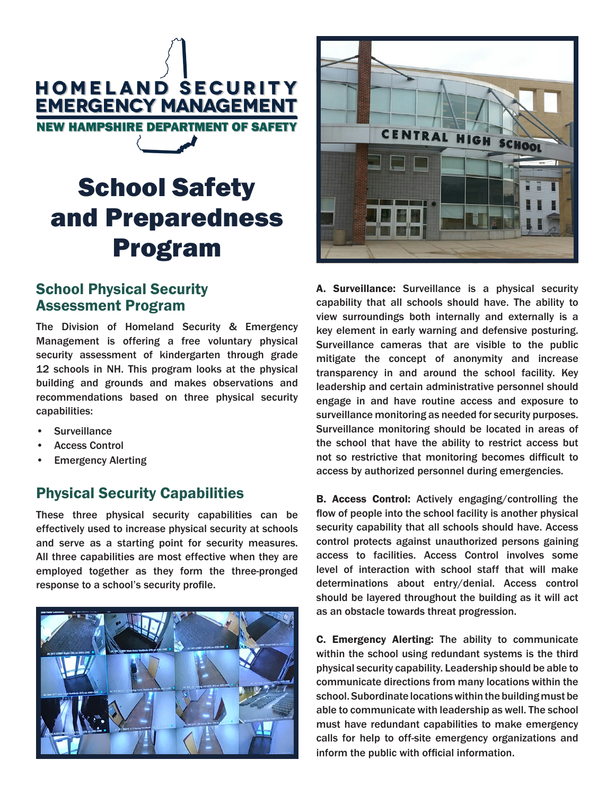

# School Safety and Preparedness Program

## School Physical Security Assessment Program

The Division of Homeland Security & Emergency Management is offering a free voluntary physical security assessment of kindergarten through grade 12 schools in NH. This program looks at the physical building and grounds and makes observations and recommendations based on three physical security capabilities:

- **Surveillance**
- Access Control
- **Emergency Alerting**

## Physical Security Capabilities

These three physical security capabilities can be effectively used to increase physical security at schools and serve as a starting point for security measures. All three capabilities are most effective when they are employed together as they form the three-pronged response to a school's security profile.





A. Surveillance: Surveillance is a physical security capability that all schools should have. The ability to view surroundings both internally and externally is a key element in early warning and defensive posturing. Surveillance cameras that are visible to the public mitigate the concept of anonymity and increase transparency in and around the school facility. Key leadership and certain administrative personnel should engage in and have routine access and exposure to surveillance monitoring as needed for security purposes. Surveillance monitoring should be located in areas of the school that have the ability to restrict access but not so restrictive that monitoring becomes difficult to access by authorized personnel during emergencies.

B. Access Control: Actively engaging/controlling the flow of people into the school facility is another physical security capability that all schools should have. Access control protects against unauthorized persons gaining access to facilities. Access Control involves some level of interaction with school staff that will make determinations about entry/denial. Access control should be layered throughout the building as it will act as an obstacle towards threat progression.

C. Emergency Alerting: The ability to communicate within the school using redundant systems is the third physical security capability. Leadership should be able to communicate directions from many locations within the school. Subordinate locations within the building must be able to communicate with leadership as well. The school must have redundant capabilities to make emergency calls for help to off-site emergency organizations and inform the public with official information.